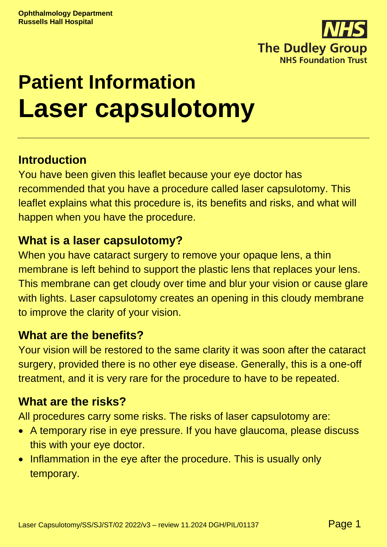

# **Patient Information Laser capsulotomy**

# **Introduction**

You have been given this leaflet because your eye doctor has recommended that you have a procedure called laser capsulotomy. This leaflet explains what this procedure is, its benefits and risks, and what will happen when you have the procedure.

### **What is a laser capsulotomy?**

When you have cataract surgery to remove your opaque lens, a thin membrane is left behind to support the plastic lens that replaces your lens. This membrane can get cloudy over time and blur your vision or cause glare with lights. Laser capsulotomy creates an opening in this cloudy membrane to improve the clarity of your vision.

### **What are the benefits?**

Your vision will be restored to the same clarity it was soon after the cataract surgery, provided there is no other eye disease. Generally, this is a one-off treatment, and it is very rare for the procedure to have to be repeated.

### **What are the risks?**

All procedures carry some risks. The risks of laser capsulotomy are:

- A temporary rise in eye pressure. If you have glaucoma, please discuss this with your eye doctor.
- Inflammation in the eye after the procedure. This is usually only temporary.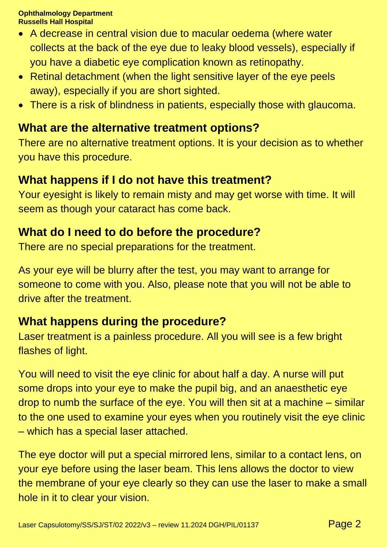#### **Ophthalmology Department Russells Hall Hospital**

- A decrease in central vision due to macular oedema (where water collects at the back of the eye due to leaky blood vessels), especially if you have a diabetic eye complication known as retinopathy.
- Retinal detachment (when the light sensitive layer of the eye peels away), especially if you are short sighted.
- There is a risk of blindness in patients, especially those with glaucoma.

# **What are the alternative treatment options?**

There are no alternative treatment options. It is your decision as to whether you have this procedure.

# **What happens if I do not have this treatment?**

Your eyesight is likely to remain misty and may get worse with time. It will seem as though your cataract has come back.

# **What do I need to do before the procedure?**

There are no special preparations for the treatment.

As your eye will be blurry after the test, you may want to arrange for someone to come with you. Also, please note that you will not be able to drive after the treatment.

# **What happens during the procedure?**

Laser treatment is a painless procedure. All you will see is a few bright flashes of light.

You will need to visit the eye clinic for about half a day. A nurse will put some drops into your eye to make the pupil big, and an anaesthetic eye drop to numb the surface of the eye. You will then sit at a machine – similar to the one used to examine your eyes when you routinely visit the eye clinic – which has a special laser attached.

The eye doctor will put a special mirrored lens, similar to a contact lens, on your eye before using the laser beam. This lens allows the doctor to view the membrane of your eye clearly so they can use the laser to make a small hole in it to clear your vision.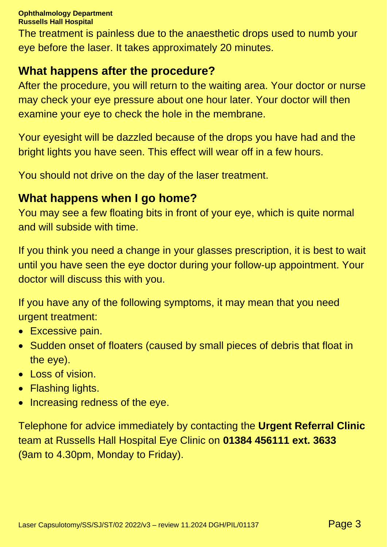#### **Ophthalmology Department Russells Hall Hospital**

The treatment is painless due to the anaesthetic drops used to numb your eye before the laser. It takes approximately 20 minutes.

### **What happens after the procedure?**

After the procedure, you will return to the waiting area. Your doctor or nurse may check your eye pressure about one hour later. Your doctor will then examine your eye to check the hole in the membrane.

Your eyesight will be dazzled because of the drops you have had and the bright lights you have seen. This effect will wear off in a few hours.

You should not drive on the day of the laser treatment.

### **What happens when I go home?**

You may see a few floating bits in front of your eye, which is quite normal and will subside with time.

If you think you need a change in your glasses prescription, it is best to wait until you have seen the eye doctor during your follow-up appointment. Your doctor will discuss this with you.

If you have any of the following symptoms, it may mean that you need urgent treatment:

- Excessive pain.
- Sudden onset of floaters (caused by small pieces of debris that float in the eye).
- Loss of vision.
- Flashing lights.
- Increasing redness of the eye.

Telephone for advice immediately by contacting the **Urgent Referral Clinic** team at Russells Hall Hospital Eye Clinic on **01384 456111 ext. 3633** (9am to 4.30pm, Monday to Friday).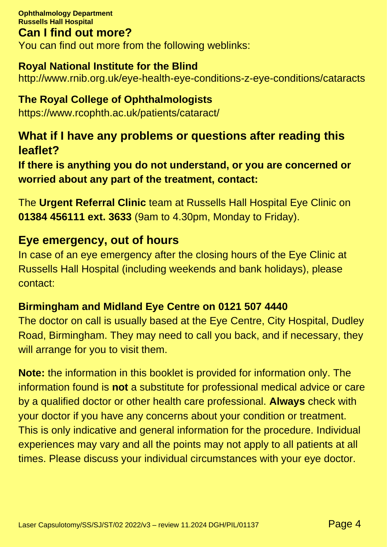**Ophthalmology Department Russells Hall Hospital Can I find out more?**  You can find out more from the following weblinks:

### **Royal National Institute for the Blind**

http://www.rnib.org.uk/eye-health-eye-conditions-z-eye-conditions/cataracts

### **The Royal College of Ophthalmologists**

https://www.rcophth.ac.uk/patients/cataract/

### **What if I have any problems or questions after reading this leaflet?**

**If there is anything you do not understand, or you are concerned or worried about any part of the treatment, contact:**

The **Urgent Referral Clinic** team at Russells Hall Hospital Eye Clinic on **01384 456111 ext. 3633** (9am to 4.30pm, Monday to Friday).

### **Eye emergency, out of hours**

In case of an eye emergency after the closing hours of the Eye Clinic at Russells Hall Hospital (including weekends and bank holidays), please contact:

### **Birmingham and Midland Eye Centre on 0121 507 4440**

The doctor on call is usually based at the Eye Centre, City Hospital, Dudley Road, Birmingham. They may need to call you back, and if necessary, they will arrange for you to visit them.

**Note:** the information in this booklet is provided for information only. The information found is **not** a substitute for professional medical advice or care by a qualified doctor or other health care professional. **Always** check with your doctor if you have any concerns about your condition or treatment. This is only indicative and general information for the procedure. Individual experiences may vary and all the points may not apply to all patients at all times. Please discuss your individual circumstances with your eye doctor.